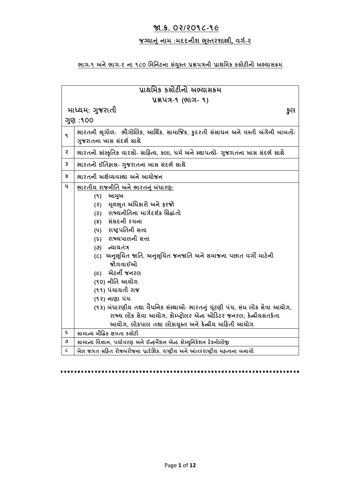# **જા.ક્ર. ૦૨/૨૦૧૮-૧૯**

# **જગ્યાનું નામ :મદદનીશ ભસ્ૂતરશાસ્ત્રી, વર્ગ-૨**

# **ભાર્-૧ અનેભાર્-૨ ના ૧૮૦ મમમનટના સયું ક્ ત પ્રશ્નપત્રની પ્રાથમમક કસોટીનો અભ્યાસક્રમ**

| પ્રાથમિક કસોટીનો અભ્યાસક્રમ |                                                                                                            |
|-----------------------------|------------------------------------------------------------------------------------------------------------|
| <u>પ્રશ્નપત્ર-૧ (ભાગ-૧)</u> |                                                                                                            |
| માધ્યમ: ગુજરાતી<br>કુલ      |                                                                                                            |
| ગુણ: 100                    |                                                                                                            |
| ۹                           | ભારતની ભૂગોળ-  ભૌગોલિક, આર્થિક, સામાજિક, કુદરતી સંસાધન અને વસ્તી અંગેની બાબતો-<br>ગુજરાતના ખાસ સંદર્ભ સાથે |
| Ş                           | ભારતનો સાંસ્કૃતિક વારસો- સાહિત્ય, કલા, ધર્મ અને સ્થાપત્યો- ગુજરાતના ખાસ સંદર્ભ સાથે                        |
| 3                           | ભારતનો ઈતિહ્નસ- ગુજરાતના ખાસ સંદર્ભ સાથે                                                                   |
| Χ                           | ભારતની અર્થવ્યવસ્થા અને આયોજન                                                                              |
| ૫                           | ભારતીય રાજનીતિ અને ભારતનું બંધારણ:                                                                         |
|                             | આમુખ<br>(9)                                                                                                |
|                             | (૨) મૂળભૂત અધિકારો અને ફરજો                                                                                |
|                             | (3) રાજ્યનીતિના માર્ગદર્શક સિદ્ધાંતો                                                                       |
|                             | (४) સંસદની રચના                                                                                            |
|                             | (૫) રાષ્ટ્રપતિની સત્તા                                                                                     |
|                             | (s) રાજ્યપાલની સત્તા                                                                                       |
|                             | (૭) ન્યાયતંત્ર                                                                                             |
|                             | (૮)  અનુસૂચિત જાતિ, અનુસૂચિત જનજાતિ અને સમાજના પછાત વર્ગો માટેની                                           |
|                             | જોગવાઈઓ                                                                                                    |
|                             | (૯) એટર્ની જનરલ                                                                                            |
|                             | (૧૦) નીતિ આયોગ                                                                                             |
|                             | (૧૧) પંચાયતી રાજ                                                                                           |
|                             | (૧૨) નાણા પંચ                                                                                              |
|                             | (૧૩) બંધારણીય તથા વૈધનિક સંસ્થાઓ- ભારતનું યૂંટણી પંચ, સંઘ લોક સેવા આયોગ,                                   |
|                             | રાજ્ય લોક સેવા આયોગ, કોમ્પ્ટ્રોલર એન્ડ ઓડિટર જનરલ; કેન્દ્રીયસતર્કતા                                        |
|                             | આયોગ, લોકપાલ તથા લોકાયુક્ત અને કેન્દ્રીય માહિતી આયોગ                                                       |
| $\boldsymbol{\varsigma}$    | સામાન્ય બૌદ્ધિક ક્ષમતા કસોટી                                                                               |
| ٯ                           | સામાન્ય વિજ્ઞાન, પર્યાવરણ અને ઈન્ફર્મેશન એન્ડ કોમ્યુનિકેશન ટેકનોલોજી                                       |
| $\pmb{\mathcal{L}}$         | ખેલ જગત સહિત રોજબરોજના પ્રાદેશિક, રાષ્ટ્રીય અને આંતરરાષ્ટ્રીય મહ્ત્વના બનાવો                               |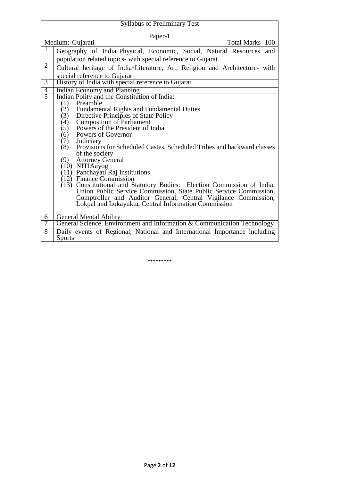|                                     | <b>Syllabus of Preliminary Test</b>                                           |  |
|-------------------------------------|-------------------------------------------------------------------------------|--|
| Paper-1                             |                                                                               |  |
| Medium: Gujarati<br>Total Marks-100 |                                                                               |  |
| 1                                   | Geography of India-Physical, Economic, Social, Natural Resources and          |  |
|                                     | population related topics- with special reference to Gujarat                  |  |
| $\overline{2}$                      | Cultural heritage of India-Literature, Art, Religion and Architecture- with   |  |
|                                     | special reference to Gujarat                                                  |  |
| $\overline{3}$                      | History of India with special reference to Gujarat                            |  |
| $\overline{4}$                      | <b>Indian Economy and Planning</b>                                            |  |
| $\overline{5}$                      | Indian Polity and the Constitution of India:                                  |  |
|                                     | Preamble<br>(1)                                                               |  |
|                                     | $\binom{2}{3}$<br><b>Fundamental Rights and Fundamental Duties</b>            |  |
|                                     | Directive Principles of State Policy                                          |  |
|                                     | Composition of Parliament<br>Powers of the President of India<br>(4)<br>(5)   |  |
|                                     | Powers of Governor<br>(6)                                                     |  |
|                                     | (7) Judiciary                                                                 |  |
|                                     | (8)<br>Provisions for Scheduled Castes, Scheduled Tribes and backward classes |  |
|                                     | of the society                                                                |  |
|                                     | (9) Attorney General                                                          |  |
|                                     |                                                                               |  |
|                                     | (10) NITIAayog<br>(11) Panchayati Raj Institutions                            |  |
|                                     | (12) Finance Commission                                                       |  |
|                                     | (13) Constitutional and Statutory Bodies: Election Commission of India,       |  |
|                                     | Union Public Service Commission, State Public Service Commission,             |  |
|                                     | Comptroller and Auditor General; Central Vigilance Commission,                |  |
|                                     | Lokpal and Lokayukta, Central Information Commission                          |  |
| 6                                   | <b>General Mental Ability</b>                                                 |  |
| 7                                   | General Science, Environment and Information & Communication Technology       |  |
| $\overline{8}$                      | Daily events of Regional, National and International Importance including     |  |
|                                     | <b>Sports</b>                                                                 |  |

\*\*\*\*\*\*\*\*\*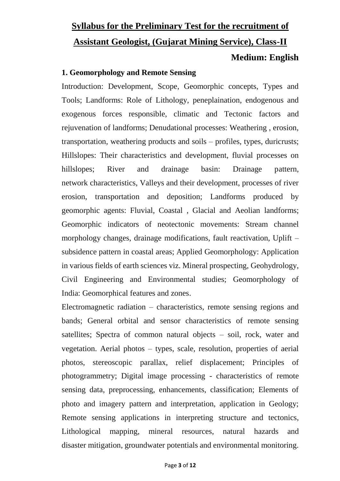# **Syllabus for the Preliminary Test for the recruitment of Assistant Geologist, (Gujarat Mining Service), Class-II Medium: English**

### **1. Geomorphology and Remote Sensing**

Introduction: Development, Scope, Geomorphic concepts, Types and Tools; Landforms: Role of Lithology, peneplaination, endogenous and exogenous forces responsible, climatic and Tectonic factors and rejuvenation of landforms; Denudational processes: Weathering , erosion, transportation, weathering products and soils – profiles, types, duricrusts; Hillslopes: Their characteristics and development, fluvial processes on hillslopes; River and drainage basin: Drainage pattern, network characteristics, Valleys and their development, processes of river erosion, transportation and deposition; Landforms produced by geomorphic agents: Fluvial, Coastal , Glacial and Aeolian landforms; Geomorphic indicators of neotectonic movements: Stream channel morphology changes, drainage modifications, fault reactivation, Uplift – subsidence pattern in coastal areas; Applied Geomorphology: Application in various fields of earth sciences viz. Mineral prospecting, Geohydrology, Civil Engineering and Environmental studies; Geomorphology of India: Geomorphical features and zones.

Electromagnetic radiation – characteristics, remote sensing regions and bands; General orbital and sensor characteristics of remote sensing satellites; Spectra of common natural objects – soil, rock, water and vegetation. Aerial photos – types, scale, resolution, properties of aerial photos, stereoscopic parallax, relief displacement; Principles of photogrammetry; Digital image processing - characteristics of remote sensing data, preprocessing, enhancements, classification; Elements of photo and imagery pattern and interpretation, application in Geology; Remote sensing applications in interpreting structure and tectonics, Lithological mapping, mineral resources, natural hazards and disaster mitigation, groundwater potentials and environmental monitoring.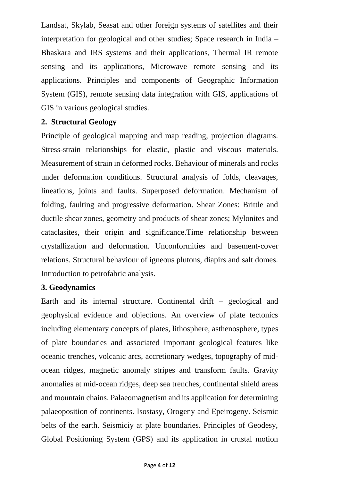Landsat, Skylab, Seasat and other foreign systems of satellites and their interpretation for geological and other studies; Space research in India – Bhaskara and IRS systems and their applications, Thermal IR remote sensing and its applications, Microwave remote sensing and its applications. Principles and components of Geographic Information System (GIS), remote sensing data integration with GIS, applications of GIS in various geological studies.

### **2. Structural Geology**

Principle of geological mapping and map reading, projection diagrams. Stress-strain relationships for elastic, plastic and viscous materials. Measurement of strain in deformed rocks. Behaviour of minerals and rocks under deformation conditions. Structural analysis of folds, cleavages, lineations, joints and faults. Superposed deformation. Mechanism of folding, faulting and progressive deformation. Shear Zones: Brittle and ductile shear zones, geometry and products of shear zones; Mylonites and cataclasites, their origin and significance.Time relationship between crystallization and deformation. Unconformities and basement-cover relations. Structural behaviour of igneous plutons, diapirs and salt domes. Introduction to petrofabric analysis.

#### **3. Geodynamics**

Earth and its internal structure. Continental drift – geological and geophysical evidence and objections. An overview of plate tectonics including elementary concepts of plates, lithosphere, asthenosphere, types of plate boundaries and associated important geological features like oceanic trenches, volcanic arcs, accretionary wedges, topography of midocean ridges, magnetic anomaly stripes and transform faults. Gravity anomalies at mid-ocean ridges, deep sea trenches, continental shield areas and mountain chains. Palaeomagnetism and its application for determining palaeoposition of continents. Isostasy, Orogeny and Epeirogeny. Seismic belts of the earth. Seismiciy at plate boundaries. Principles of Geodesy, Global Positioning System (GPS) and its application in crustal motion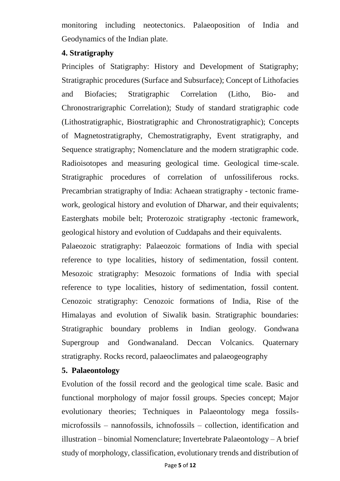monitoring including neotectonics. Palaeoposition of India and Geodynamics of the Indian plate.

#### **4. Stratigraphy**

Principles of Statigraphy: History and Development of Statigraphy; Stratigraphic procedures (Surface and Subsurface); Concept of Lithofacies and Biofacies; Stratigraphic Correlation (Litho, Bio- and Chronostrarigraphic Correlation); Study of standard stratigraphic code (Lithostratigraphic, Biostratigraphic and Chronostratigraphic); Concepts of Magnetostratigraphy, Chemostratigraphy, Event stratigraphy, and Sequence stratigraphy; Nomenclature and the modern stratigraphic code. Radioisotopes and measuring geological time. Geological time-scale. Stratigraphic procedures of correlation of unfossiliferous rocks. Precambrian stratigraphy of India: Achaean stratigraphy - tectonic framework, geological history and evolution of Dharwar, and their equivalents; Easterghats mobile belt; Proterozoic stratigraphy -tectonic framework, geological history and evolution of Cuddapahs and their equivalents.

Palaeozoic stratigraphy: Palaeozoic formations of India with special reference to type localities, history of sedimentation, fossil content. Mesozoic stratigraphy: Mesozoic formations of India with special reference to type localities, history of sedimentation, fossil content. Cenozoic stratigraphy: Cenozoic formations of India, Rise of the Himalayas and evolution of Siwalik basin. Stratigraphic boundaries: Stratigraphic boundary problems in Indian geology. Gondwana Supergroup and Gondwanaland. Deccan Volcanics. Quaternary stratigraphy. Rocks record, palaeoclimates and palaeogeography

# **5. Palaeontology**

Evolution of the fossil record and the geological time scale. Basic and functional morphology of major fossil groups. Species concept; Major evolutionary theories; Techniques in Palaeontology mega fossilsmicrofossils – nannofossils, ichnofossils – collection, identification and illustration – binomial Nomenclature; Invertebrate Palaeontology – A brief study of morphology, classification, evolutionary trends and distribution of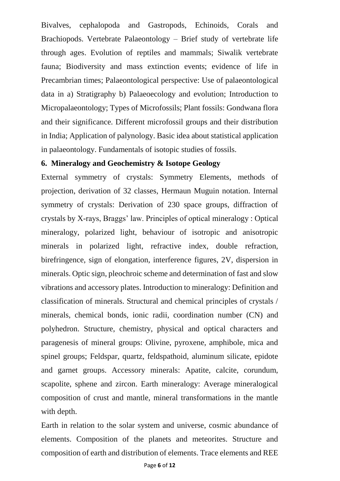Bivalves, cephalopoda and Gastropods, Echinoids, Corals and Brachiopods. Vertebrate Palaeontology – Brief study of vertebrate life through ages. Evolution of reptiles and mammals; Siwalik vertebrate fauna; Biodiversity and mass extinction events; evidence of life in Precambrian times; Palaeontological perspective: Use of palaeontological data in a) Stratigraphy b) Palaeoecology and evolution; Introduction to Micropalaeontology; Types of Microfossils; Plant fossils: Gondwana flora and their significance. Different microfossil groups and their distribution in India; Application of palynology. Basic idea about statistical application in palaeontology. Fundamentals of isotopic studies of fossils.

#### **6. Mineralogy and Geochemistry & Isotope Geology**

External symmetry of crystals: Symmetry Elements, methods of projection, derivation of 32 classes, Hermaun Muguin notation. Internal symmetry of crystals: Derivation of 230 space groups, diffraction of crystals by X-rays, Braggs' law. Principles of optical mineralogy : Optical mineralogy, polarized light, behaviour of isotropic and anisotropic minerals in polarized light, refractive index, double refraction, birefringence, sign of elongation, interference figures, 2V, dispersion in minerals. Optic sign, pleochroic scheme and determination of fast and slow vibrations and accessory plates. Introduction to mineralogy: Definition and classification of minerals. Structural and chemical principles of crystals / minerals, chemical bonds, ionic radii, coordination number (CN) and polyhedron. Structure, chemistry, physical and optical characters and paragenesis of mineral groups: Olivine, pyroxene, amphibole, mica and spinel groups; Feldspar, quartz, feldspathoid, aluminum silicate, epidote and garnet groups. Accessory minerals: Apatite, calcite, corundum, scapolite, sphene and zircon. Earth mineralogy: Average mineralogical composition of crust and mantle, mineral transformations in the mantle with depth.

Earth in relation to the solar system and universe, cosmic abundance of elements. Composition of the planets and meteorites. Structure and composition of earth and distribution of elements. Trace elements and REE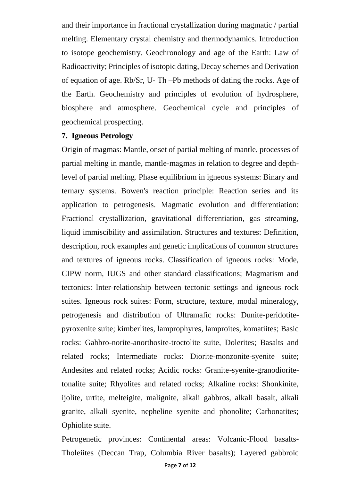and their importance in fractional crystallization during magmatic / partial melting. Elementary crystal chemistry and thermodynamics. Introduction to isotope geochemistry. Geochronology and age of the Earth: Law of Radioactivity; Principles of isotopic dating, Decay schemes and Derivation of equation of age. Rb/Sr, U- Th –Pb methods of dating the rocks. Age of the Earth. Geochemistry and principles of evolution of hydrosphere, biosphere and atmosphere. Geochemical cycle and principles of geochemical prospecting.

#### **7. Igneous Petrology**

Origin of magmas: Mantle, onset of partial melting of mantle, processes of partial melting in mantle, mantle-magmas in relation to degree and depthlevel of partial melting. Phase equilibrium in igneous systems: Binary and ternary systems. Bowen's reaction principle: Reaction series and its application to petrogenesis. Magmatic evolution and differentiation: Fractional crystallization, gravitational differentiation, gas streaming, liquid immiscibility and assimilation. Structures and textures: Definition, description, rock examples and genetic implications of common structures and textures of igneous rocks. Classification of igneous rocks: Mode, CIPW norm, IUGS and other standard classifications; Magmatism and tectonics: Inter-relationship between tectonic settings and igneous rock suites. Igneous rock suites: Form, structure, texture, modal mineralogy, petrogenesis and distribution of Ultramafic rocks: Dunite-peridotitepyroxenite suite; kimberlites, lamprophyres, lamproites, komatiites; Basic rocks: Gabbro-norite-anorthosite-troctolite suite, Dolerites; Basalts and related rocks; Intermediate rocks: Diorite-monzonite-syenite suite; Andesites and related rocks; Acidic rocks: Granite-syenite-granodioritetonalite suite; Rhyolites and related rocks; Alkaline rocks: Shonkinite, ijolite, urtite, melteigite, malignite, alkali gabbros, alkali basalt, alkali granite, alkali syenite, nepheline syenite and phonolite; Carbonatites; Ophiolite suite.

Petrogenetic provinces: Continental areas: Volcanic-Flood basalts-Tholeiites (Deccan Trap, Columbia River basalts); Layered gabbroic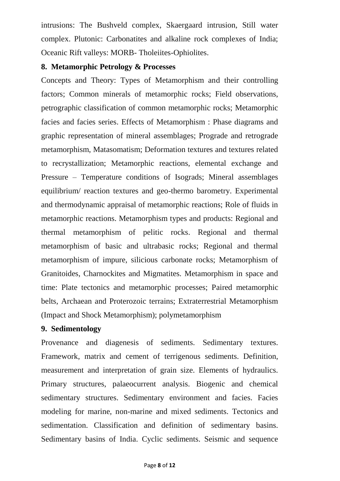intrusions: The Bushveld complex, Skaergaard intrusion, Still water complex. Plutonic: Carbonatites and alkaline rock complexes of India; Oceanic Rift valleys: MORB- Tholeiites-Ophiolites.

#### **8. Metamorphic Petrology & Processes**

Concepts and Theory: Types of Metamorphism and their controlling factors; Common minerals of metamorphic rocks; Field observations, petrographic classification of common metamorphic rocks; Metamorphic facies and facies series. Effects of Metamorphism : Phase diagrams and graphic representation of mineral assemblages; Prograde and retrograde metamorphism, Matasomatism; Deformation textures and textures related to recrystallization; Metamorphic reactions, elemental exchange and Pressure – Temperature conditions of Isograds; Mineral assemblages equilibrium/ reaction textures and geo-thermo barometry. Experimental and thermodynamic appraisal of metamorphic reactions; Role of fluids in metamorphic reactions. Metamorphism types and products: Regional and thermal metamorphism of pelitic rocks. Regional and thermal metamorphism of basic and ultrabasic rocks; Regional and thermal metamorphism of impure, silicious carbonate rocks; Metamorphism of Granitoides, Charnockites and Migmatites. Metamorphism in space and time: Plate tectonics and metamorphic processes; Paired metamorphic belts, Archaean and Proterozoic terrains; Extraterrestrial Metamorphism (Impact and Shock Metamorphism); polymetamorphism

#### **9. Sedimentology**

Provenance and diagenesis of sediments. Sedimentary textures. Framework, matrix and cement of terrigenous sediments. Definition, measurement and interpretation of grain size. Elements of hydraulics. Primary structures, palaeocurrent analysis. Biogenic and chemical sedimentary structures. Sedimentary environment and facies. Facies modeling for marine, non-marine and mixed sediments. Tectonics and sedimentation. Classification and definition of sedimentary basins. Sedimentary basins of India. Cyclic sediments. Seismic and sequence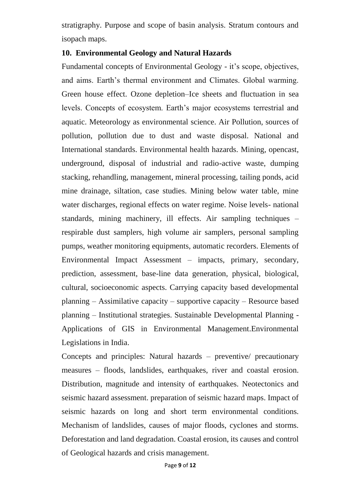stratigraphy. Purpose and scope of basin analysis. Stratum contours and isopach maps.

#### **10. Environmental Geology and Natural Hazards**

Fundamental concepts of Environmental Geology - it's scope, objectives, and aims. Earth's thermal environment and Climates. Global warming. Green house effect. Ozone depletion–Ice sheets and fluctuation in sea levels. Concepts of ecosystem. Earth's major ecosystems terrestrial and aquatic. Meteorology as environmental science. Air Pollution, sources of pollution, pollution due to dust and waste disposal. National and International standards. Environmental health hazards. Mining, opencast, underground, disposal of industrial and radio-active waste, dumping stacking, rehandling, management, mineral processing, tailing ponds, acid mine drainage, siltation, case studies. Mining below water table, mine water discharges, regional effects on water regime. Noise levels- national standards, mining machinery, ill effects. Air sampling techniques – respirable dust samplers, high volume air samplers, personal sampling pumps, weather monitoring equipments, automatic recorders. Elements of Environmental Impact Assessment – impacts, primary, secondary, prediction, assessment, base-line data generation, physical, biological, cultural, socioeconomic aspects. Carrying capacity based developmental planning – Assimilative capacity – supportive capacity – Resource based planning – Institutional strategies. Sustainable Developmental Planning - Applications of GIS in Environmental Management.Environmental Legislations in India.

Concepts and principles: Natural hazards – preventive/ precautionary measures – floods, landslides, earthquakes, river and coastal erosion. Distribution, magnitude and intensity of earthquakes. Neotectonics and seismic hazard assessment. preparation of seismic hazard maps. Impact of seismic hazards on long and short term environmental conditions. Mechanism of landslides, causes of major floods, cyclones and storms. Deforestation and land degradation. Coastal erosion, its causes and control of Geological hazards and crisis management.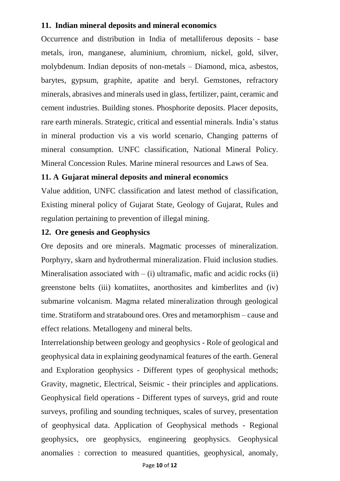#### **11. Indian mineral deposits and mineral economics**

Occurrence and distribution in India of metalliferous deposits - base metals, iron, manganese, aluminium, chromium, nickel, gold, silver, molybdenum. Indian deposits of non-metals – Diamond, mica, asbestos, barytes, gypsum, graphite, apatite and beryl. Gemstones, refractory minerals, abrasives and minerals used in glass, fertilizer, paint, ceramic and cement industries. Building stones. Phosphorite deposits. Placer deposits, rare earth minerals. Strategic, critical and essential minerals. India's status in mineral production vis a vis world scenario, Changing patterns of mineral consumption. UNFC classification, National Mineral Policy. Mineral Concession Rules. Marine mineral resources and Laws of Sea.

#### **11. A Gujarat mineral deposits and mineral economics**

Value addition, UNFC classification and latest method of classification, Existing mineral policy of Gujarat State, Geology of Gujarat, Rules and regulation pertaining to prevention of illegal mining.

#### **12. Ore genesis and Geophysics**

Ore deposits and ore minerals. Magmatic processes of mineralization. Porphyry, skarn and hydrothermal mineralization. Fluid inclusion studies. Mineralisation associated with  $-$  (i) ultramafic, mafic and acidic rocks (ii) greenstone belts (iii) komatiites, anorthosites and kimberlites and (iv) submarine volcanism. Magma related mineralization through geological time. Stratiform and stratabound ores. Ores and metamorphism – cause and effect relations. Metallogeny and mineral belts.

Interrelationship between geology and geophysics - Role of geological and geophysical data in explaining geodynamical features of the earth. General and Exploration geophysics - Different types of geophysical methods; Gravity, magnetic, Electrical, Seismic - their principles and applications. Geophysical field operations - Different types of surveys, grid and route surveys, profiling and sounding techniques, scales of survey, presentation of geophysical data. Application of Geophysical methods - Regional geophysics, ore geophysics, engineering geophysics. Geophysical anomalies : correction to measured quantities, geophysical, anomaly,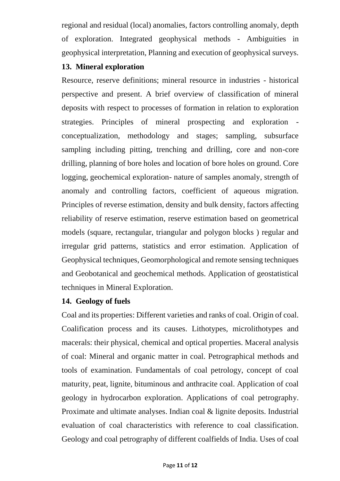regional and residual (local) anomalies, factors controlling anomaly, depth of exploration. Integrated geophysical methods - Ambiguities in geophysical interpretation, Planning and execution of geophysical surveys.

# **13. Mineral exploration**

Resource, reserve definitions; mineral resource in industries - historical perspective and present. A brief overview of classification of mineral deposits with respect to processes of formation in relation to exploration strategies. Principles of mineral prospecting and exploration conceptualization, methodology and stages; sampling, subsurface sampling including pitting, trenching and drilling, core and non-core drilling, planning of bore holes and location of bore holes on ground. Core logging, geochemical exploration- nature of samples anomaly, strength of anomaly and controlling factors, coefficient of aqueous migration. Principles of reverse estimation, density and bulk density, factors affecting reliability of reserve estimation, reserve estimation based on geometrical models (square, rectangular, triangular and polygon blocks ) regular and irregular grid patterns, statistics and error estimation. Application of Geophysical techniques, Geomorphological and remote sensing techniques and Geobotanical and geochemical methods. Application of geostatistical techniques in Mineral Exploration.

# **14. Geology of fuels**

Coal and its properties: Different varieties and ranks of coal. Origin of coal. Coalification process and its causes. Lithotypes, microlithotypes and macerals: their physical, chemical and optical properties. Maceral analysis of coal: Mineral and organic matter in coal. Petrographical methods and tools of examination. Fundamentals of coal petrology, concept of coal maturity, peat, lignite, bituminous and anthracite coal. Application of coal geology in hydrocarbon exploration. Applications of coal petrography. Proximate and ultimate analyses. Indian coal & lignite deposits. Industrial evaluation of coal characteristics with reference to coal classification. Geology and coal petrography of different coalfields of India. Uses of coal